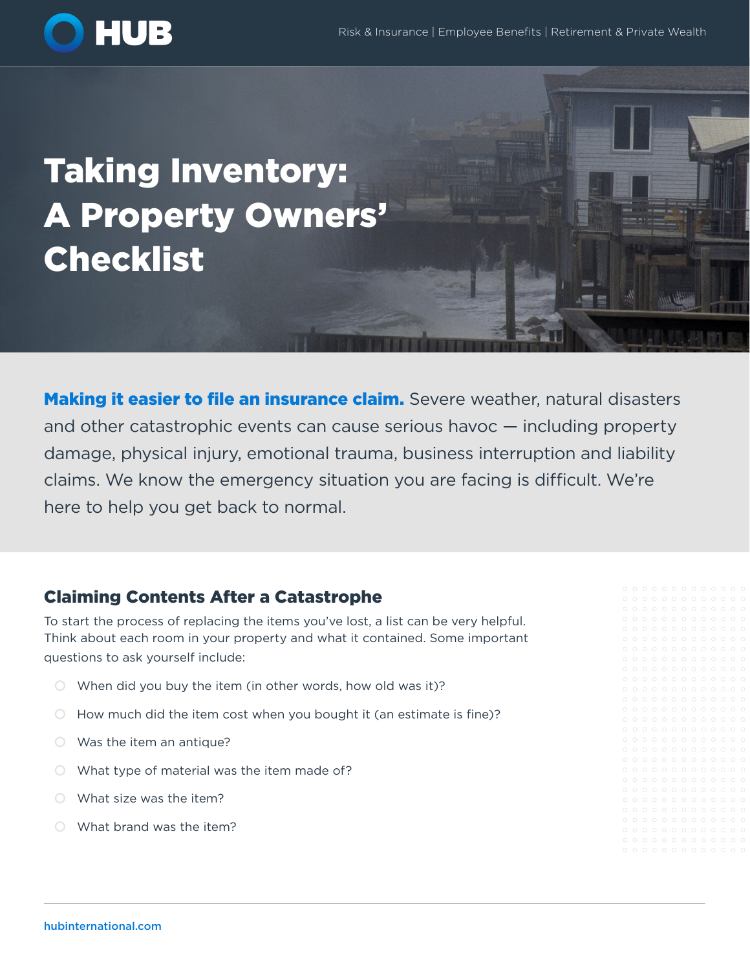

# Taking Inventory: A Property Owners' Checklist

**Making it easier to file an insurance claim.** Severe weather, natural disasters and other catastrophic events can cause serious havoc — including property damage, physical injury, emotional trauma, business interruption and liability claims. We know the emergency situation you are facing is difficult. We're here to help you get back to normal.

## Claiming Contents After a Catastrophe

To start the process of replacing the items you've lost, a list can be very helpful. Think about each room in your property and what it contained. Some important questions to ask yourself include:

- $\circ$  When did you buy the item (in other words, how old was it)?
- $\circ$  How much did the item cost when you bought it (an estimate is fine)?
- $\circ$  Was the item an antique?
- $\circ$  What type of material was the item made of?
- $\bigcirc$  What size was the item?
- $\circ$  What brand was the item?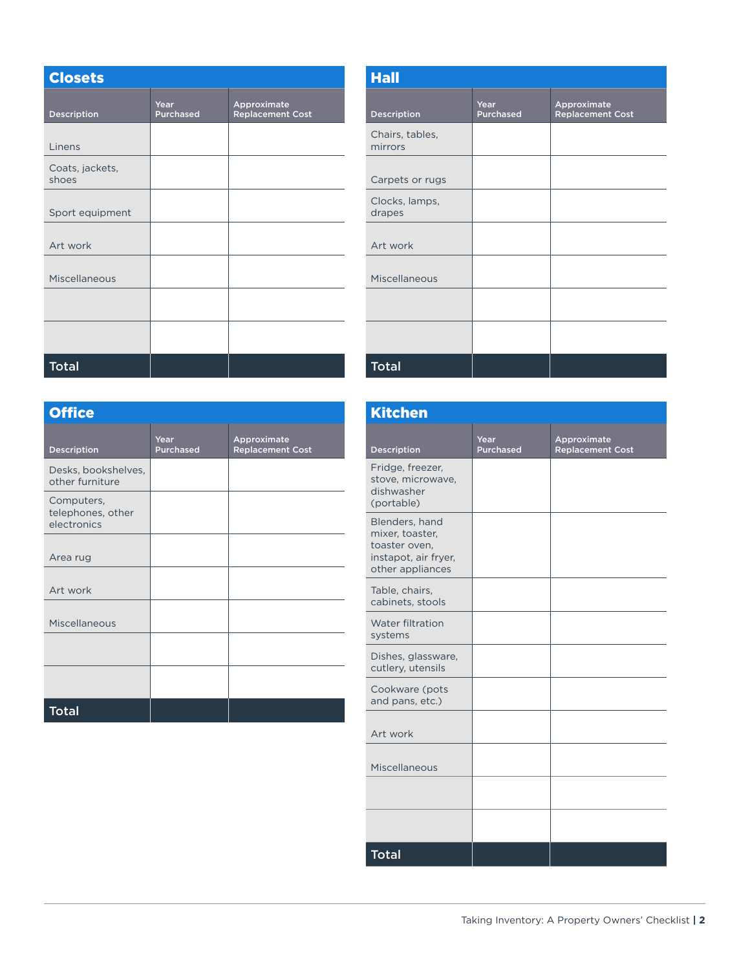| <b>Closets</b>           |                          |                                        |  |  |
|--------------------------|--------------------------|----------------------------------------|--|--|
| Description              | Year<br><b>Purchased</b> | Approximate<br><b>Replacement Cost</b> |  |  |
| Linens                   |                          |                                        |  |  |
| Coats, jackets,<br>shoes |                          |                                        |  |  |
| Sport equipment          |                          |                                        |  |  |
| Art work                 |                          |                                        |  |  |
| Miscellaneous            |                          |                                        |  |  |
|                          |                          |                                        |  |  |
|                          |                          |                                        |  |  |
| <b>Total</b>             |                          |                                        |  |  |

| <b>Hall</b>                |                   |                                        |  |  |
|----------------------------|-------------------|----------------------------------------|--|--|
| Description                | Year<br>Purchased | Approximate<br><b>Replacement Cost</b> |  |  |
| Chairs, tables,<br>mirrors |                   |                                        |  |  |
| Carpets or rugs            |                   |                                        |  |  |
| Clocks, lamps,<br>drapes   |                   |                                        |  |  |
| Art work                   |                   |                                        |  |  |
| Miscellaneous              |                   |                                        |  |  |
|                            |                   |                                        |  |  |
|                            |                   |                                        |  |  |
| <b>Total</b>               |                   |                                        |  |  |

| <b>Office</b>                                  |                          |                                        |  |  |
|------------------------------------------------|--------------------------|----------------------------------------|--|--|
| <b>Description</b>                             | Year<br><b>Purchased</b> | Approximate<br><b>Replacement Cost</b> |  |  |
| Desks, bookshelves,<br>other furniture         |                          |                                        |  |  |
| Computers,<br>telephones, other<br>electronics |                          |                                        |  |  |
| Area rug                                       |                          |                                        |  |  |
| Art work                                       |                          |                                        |  |  |
| Miscellaneous                                  |                          |                                        |  |  |
|                                                |                          |                                        |  |  |
|                                                |                          |                                        |  |  |
| <b>Total</b>                                   |                          |                                        |  |  |

| <b>Kitchen</b>                                                                                 |                          |                                        |
|------------------------------------------------------------------------------------------------|--------------------------|----------------------------------------|
| Description                                                                                    | Year<br><b>Purchased</b> | Approximate<br><b>Replacement Cost</b> |
| Fridge, freezer,<br>stove, microwave,<br>dishwasher<br>(portable)                              |                          |                                        |
| Blenders, hand<br>mixer, toaster,<br>toaster oven.<br>instapot, air fryer,<br>other appliances |                          |                                        |
| Table, chairs,<br>cabinets, stools                                                             |                          |                                        |
| Water filtration<br>systems                                                                    |                          |                                        |
| Dishes, glassware,<br>cutlery, utensils                                                        |                          |                                        |
| Cookware (pots<br>and pans, etc.)                                                              |                          |                                        |
| Art work                                                                                       |                          |                                        |
| Miscellaneous                                                                                  |                          |                                        |
|                                                                                                |                          |                                        |
|                                                                                                |                          |                                        |
| <b>Total</b>                                                                                   |                          |                                        |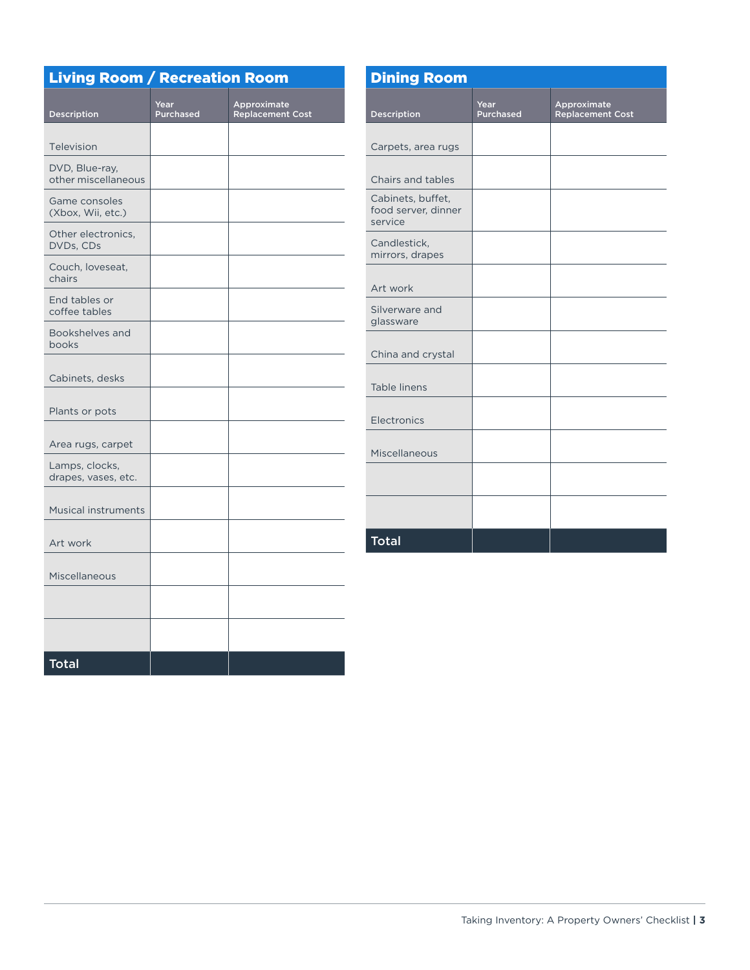| <b>Living Room / Recreation Room</b>  |                          |                                        | <b>Dining Room</b>                                  |                   |                                        |
|---------------------------------------|--------------------------|----------------------------------------|-----------------------------------------------------|-------------------|----------------------------------------|
| Description                           | Year<br><b>Purchased</b> | Approximate<br><b>Replacement Cost</b> | <b>Description</b>                                  | Year<br>Purchased | Approximate<br><b>Replacement Cost</b> |
| Television                            |                          |                                        | Carpets, area rugs                                  |                   |                                        |
| DVD, Blue-ray,<br>other miscellaneous |                          |                                        | Chairs and tables                                   |                   |                                        |
| Game consoles<br>(Xbox, Wii, etc.)    |                          |                                        | Cabinets, buffet,<br>food server, dinner<br>service |                   |                                        |
| Other electronics,<br>DVDs, CDs       |                          |                                        | Candlestick,<br>mirrors, drapes                     |                   |                                        |
| Couch, loveseat,<br>chairs            |                          |                                        | Art work                                            |                   |                                        |
| End tables or<br>coffee tables        |                          |                                        | Silverware and<br>glassware                         |                   |                                        |
| Bookshelves and<br>books              |                          |                                        | China and crystal                                   |                   |                                        |
| Cabinets, desks                       |                          |                                        | Table linens                                        |                   |                                        |
| Plants or pots                        |                          |                                        | Electronics                                         |                   |                                        |
| Area rugs, carpet                     |                          |                                        | Miscellaneous                                       |                   |                                        |
| Lamps, clocks,<br>drapes, vases, etc. |                          |                                        |                                                     |                   |                                        |
| <b>Musical instruments</b>            |                          |                                        |                                                     |                   |                                        |
| Art work                              |                          |                                        | <b>Total</b>                                        |                   |                                        |
| Miscellaneous                         |                          |                                        |                                                     |                   |                                        |
|                                       |                          |                                        |                                                     |                   |                                        |
|                                       |                          |                                        |                                                     |                   |                                        |
| <b>Total</b>                          |                          |                                        |                                                     |                   |                                        |

 $\overline{\phantom{a}}$ 

 $\overline{\phantom{0}}$ 

 $\overline{\phantom{0}}$ 

 $\sim$  10  $\mu$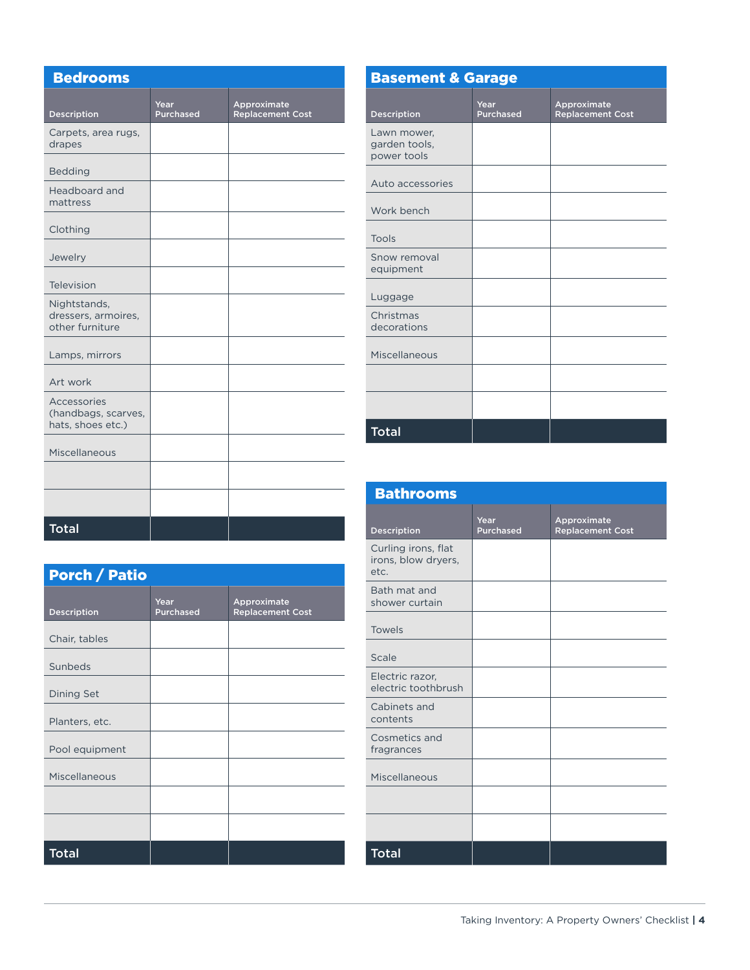| <b>Bedrooms</b>                                         |                          |                                        |
|---------------------------------------------------------|--------------------------|----------------------------------------|
| Description                                             | Year<br><b>Purchased</b> | Approximate<br><b>Replacement Cost</b> |
| Carpets, area rugs,<br>drapes                           |                          |                                        |
| <b>Bedding</b>                                          |                          |                                        |
| Headboard and<br>mattress                               |                          |                                        |
| Clothing                                                |                          |                                        |
| Jewelry                                                 |                          |                                        |
| Television                                              |                          |                                        |
| Nightstands,<br>dressers, armoires,<br>other furniture  |                          |                                        |
| Lamps, mirrors                                          |                          |                                        |
| Art work                                                |                          |                                        |
| Accessories<br>(handbags, scarves,<br>hats, shoes etc.) |                          |                                        |
| Miscellaneous                                           |                          |                                        |
|                                                         |                          |                                        |
|                                                         |                          |                                        |
| <b>Total</b>                                            |                          |                                        |

| <b>Porch / Patio</b> |                          |                                        |  |  |
|----------------------|--------------------------|----------------------------------------|--|--|
| <b>Description</b>   | Year<br><b>Purchased</b> | Approximate<br><b>Replacement Cost</b> |  |  |
| Chair, tables        |                          |                                        |  |  |
| Sunbeds              |                          |                                        |  |  |
| <b>Dining Set</b>    |                          |                                        |  |  |
| Planters, etc.       |                          |                                        |  |  |
| Pool equipment       |                          |                                        |  |  |
| Miscellaneous        |                          |                                        |  |  |
|                      |                          |                                        |  |  |
|                      |                          |                                        |  |  |
| <b>Total</b>         |                          |                                        |  |  |

| <b>Basement &amp; Garage</b>                |                          |                                        |  |  |
|---------------------------------------------|--------------------------|----------------------------------------|--|--|
| <b>Description</b>                          | Year<br><b>Purchased</b> | Approximate<br><b>Replacement Cost</b> |  |  |
| Lawn mower,<br>garden tools,<br>power tools |                          |                                        |  |  |
| Auto accessories                            |                          |                                        |  |  |
| Work bench                                  |                          |                                        |  |  |
| Tools                                       |                          |                                        |  |  |
| Snow removal<br>equipment                   |                          |                                        |  |  |
| Luggage                                     |                          |                                        |  |  |
| Christmas<br>decorations                    |                          |                                        |  |  |
| Miscellaneous                               |                          |                                        |  |  |
|                                             |                          |                                        |  |  |
|                                             |                          |                                        |  |  |
| <b>Total</b>                                |                          |                                        |  |  |

| <b>Bathrooms</b>                                   |                          |                                        |  |  |
|----------------------------------------------------|--------------------------|----------------------------------------|--|--|
| Description                                        | Year<br><b>Purchased</b> | Approximate<br><b>Replacement Cost</b> |  |  |
| Curling irons, flat<br>irons, blow dryers,<br>etc. |                          |                                        |  |  |
| Bath mat and<br>shower curtain                     |                          |                                        |  |  |
| <b>Towels</b>                                      |                          |                                        |  |  |
| Scale                                              |                          |                                        |  |  |
| Electric razor,<br>electric toothbrush             |                          |                                        |  |  |
| Cabinets and<br>contents                           |                          |                                        |  |  |
| Cosmetics and<br>fragrances                        |                          |                                        |  |  |
| Miscellaneous                                      |                          |                                        |  |  |
|                                                    |                          |                                        |  |  |
|                                                    |                          |                                        |  |  |
| <b>Total</b>                                       |                          |                                        |  |  |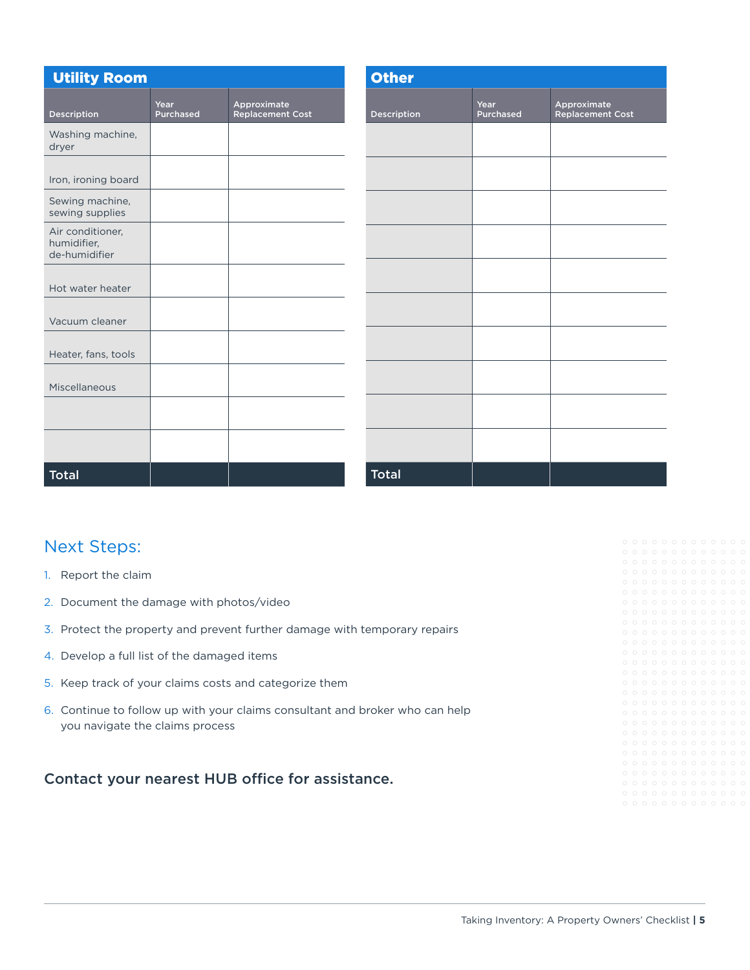| <b>Utility Room</b>                              |                   | <b>Other</b>                           |                    |                   |                                        |
|--------------------------------------------------|-------------------|----------------------------------------|--------------------|-------------------|----------------------------------------|
| Description                                      | Year<br>Purchased | Approximate<br><b>Replacement Cost</b> | <b>Description</b> | Year<br>Purchased | Approximate<br><b>Replacement Cost</b> |
| Washing machine,<br>dryer                        |                   |                                        |                    |                   |                                        |
| Iron, ironing board                              |                   |                                        |                    |                   |                                        |
| Sewing machine,<br>sewing supplies               |                   |                                        |                    |                   |                                        |
| Air conditioner,<br>humidifier,<br>de-humidifier |                   |                                        |                    |                   |                                        |
| Hot water heater                                 |                   |                                        |                    |                   |                                        |
| Vacuum cleaner                                   |                   |                                        |                    |                   |                                        |
| Heater, fans, tools                              |                   |                                        |                    |                   |                                        |
| Miscellaneous                                    |                   |                                        |                    |                   |                                        |
|                                                  |                   |                                        |                    |                   |                                        |
|                                                  |                   |                                        |                    |                   |                                        |
| <b>Total</b>                                     |                   |                                        | <b>Total</b>       |                   |                                        |

# Next Steps:

- 1. Report the claim
- 2. Document the damage with photos/video
- 3. Protect the property and prevent further damage with temporary repairs
- 4. Develop a full list of the damaged items
- 5. Keep track of your claims costs and categorize them
- 6. Continue to follow up with your claims consultant and broker who can help you navigate the claims process

Contact your nearest HUB office for assistance.